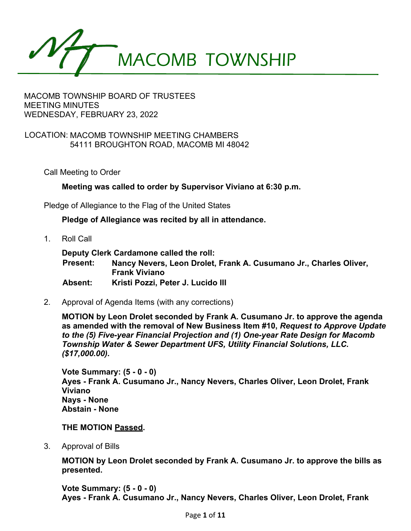

# LOCATION: MACOMB TOWNSHIP MEETING CHAMBERS 54111 BROUGHTON ROAD, MACOMB MI 48042

Call Meeting to Order

**Meeting was called to order by Supervisor Viviano at 6:30 p.m.** 

Pledge of Allegiance to the Flag of the United States

**Pledge of Allegiance was recited by all in attendance.** 

1. Roll Call

**Deputy Clerk Cardamone called the roll: Present: Nancy Nevers, Leon Drolet, Frank A. Cusumano Jr., Charles Oliver, Frank Viviano Absent: Kristi Pozzi, Peter J. Lucido III** 

2. Approval of Agenda Items (with any corrections)

**MOTION by Leon Drolet seconded by Frank A. Cusumano Jr. to approve the agenda as amended with the removal of New Business Item #10,** *Request to Approve Update to the (5) Five-year Financial Projection and (1) One-year Rate Design for Macomb Township Water & Sewer Department UFS, Utility Financial Solutions, LLC. (\$17,000.00).* 

**Vote Summary: (5 - 0 - 0) Ayes - Frank A. Cusumano Jr., Nancy Nevers, Charles Oliver, Leon Drolet, Frank Viviano Nays - None Abstain - None** 

**THE MOTION Passed.** 

3. Approval of Bills

**MOTION by Leon Drolet seconded by Frank A. Cusumano Jr. to approve the bills as presented.** 

**Vote Summary: (5 - 0 - 0) Ayes - Frank A. Cusumano Jr., Nancy Nevers, Charles Oliver, Leon Drolet, Frank**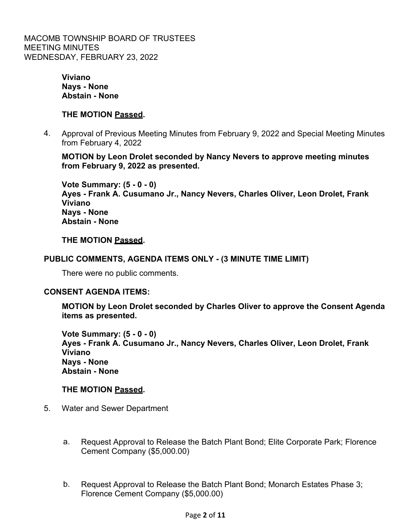> **Viviano Nays - None Abstain - None**

#### **THE MOTION Passed.**

4. Approval of Previous Meeting Minutes from February 9, 2022 and Special Meeting Minutes from February 4, 2022

**MOTION by Leon Drolet seconded by Nancy Nevers to approve meeting minutes from February 9, 2022 as presented.** 

**Vote Summary: (5 - 0 - 0) Ayes - Frank A. Cusumano Jr., Nancy Nevers, Charles Oliver, Leon Drolet, Frank Viviano Nays - None Abstain - None** 

#### **THE MOTION Passed.**

#### **PUBLIC COMMENTS, AGENDA ITEMS ONLY - (3 MINUTE TIME LIMIT)**

There were no public comments.

#### **CONSENT AGENDA ITEMS:**

**MOTION by Leon Drolet seconded by Charles Oliver to approve the Consent Agenda items as presented.** 

**Vote Summary: (5 - 0 - 0) Ayes - Frank A. Cusumano Jr., Nancy Nevers, Charles Oliver, Leon Drolet, Frank Viviano Nays - None Abstain - None** 

#### **THE MOTION Passed.**

- 5. Water and Sewer Department
	- a. Request Approval to Release the Batch Plant Bond; Elite Corporate Park; Florence Cement Company (\$5,000.00)
	- b. Request Approval to Release the Batch Plant Bond; Monarch Estates Phase 3; Florence Cement Company (\$5,000.00)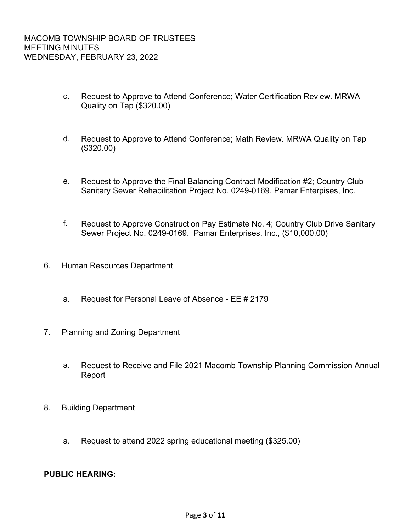- c. Request to Approve to Attend Conference; Water Certification Review. MRWA Quality on Tap (\$320.00)
- d. Request to Approve to Attend Conference; Math Review. MRWA Quality on Tap (\$320.00)
- e. Request to Approve the Final Balancing Contract Modification #2; Country Club Sanitary Sewer Rehabilitation Project No. 0249-0169. Pamar Enterpises, Inc.
- f. Request to Approve Construction Pay Estimate No. 4; Country Club Drive Sanitary Sewer Project No. 0249-0169. Pamar Enterprises, Inc., (\$10,000.00)
- 6. Human Resources Department
	- a. Request for Personal Leave of Absence EE # 2179
- 7. Planning and Zoning Department
	- a. Request to Receive and File 2021 Macomb Township Planning Commission Annual Report
- 8. Building Department
	- a. Request to attend 2022 spring educational meeting (\$325.00)

# **PUBLIC HEARING:**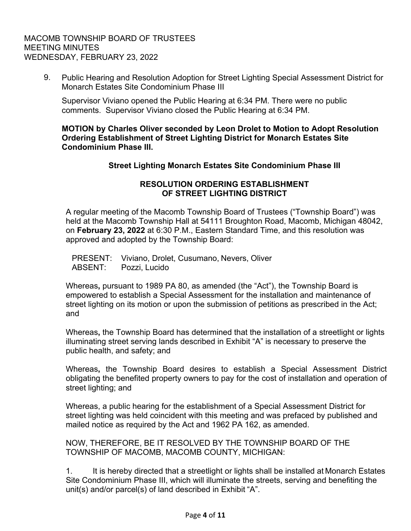9. Public Hearing and Resolution Adoption for Street Lighting Special Assessment District for Monarch Estates Site Condominium Phase III

Supervisor Viviano opened the Public Hearing at 6:34 PM. There were no public comments. Supervisor Viviano closed the Public Hearing at 6:34 PM.

**MOTION by Charles Oliver seconded by Leon Drolet to Motion to Adopt Resolution Ordering Establishment of Street Lighting District for Monarch Estates Site Condominium Phase III.** 

# **Street Lighting Monarch Estates Site Condominium Phase III**

# **RESOLUTION ORDERING ESTABLISHMENT OF STREET LIGHTING DISTRICT**

A regular meeting of the Macomb Township Board of Trustees ("Township Board") was held at the Macomb Township Hall at 54111 Broughton Road, Macomb, Michigan 48042, on **February 23, 2022** at 6:30 P.M., Eastern Standard Time, and this resolution was approved and adopted by the Township Board:

PRESENT: Viviano, Drolet, Cusumano, Nevers, Oliver ABSENT: Pozzi, Lucido

Whereas**,** pursuant to 1989 PA 80, as amended (the "Act"), the Township Board is empowered to establish a Special Assessment for the installation and maintenance of street lighting on its motion or upon the submission of petitions as prescribed in the Act; and

Whereas**,** the Township Board has determined that the installation of a streetlight or lights illuminating street serving lands described in Exhibit "A" is necessary to preserve the public health, and safety; and

Whereas**,** the Township Board desires to establish a Special Assessment District obligating the benefited property owners to pay for the cost of installation and operation of street lighting; and

Whereas, a public hearing for the establishment of a Special Assessment District for street lighting was held coincident with this meeting and was prefaced by published and mailed notice as required by the Act and 1962 PA 162, as amended.

NOW, THEREFORE, BE IT RESOLVED BY THE TOWNSHIP BOARD OF THE TOWNSHIP OF MACOMB, MACOMB COUNTY, MICHIGAN:

1. It is hereby directed that a streetlight or lights shall be installed at Monarch Estates Site Condominium Phase III, which will illuminate the streets, serving and benefiting the unit(s) and/or parcel(s) of land described in Exhibit "A".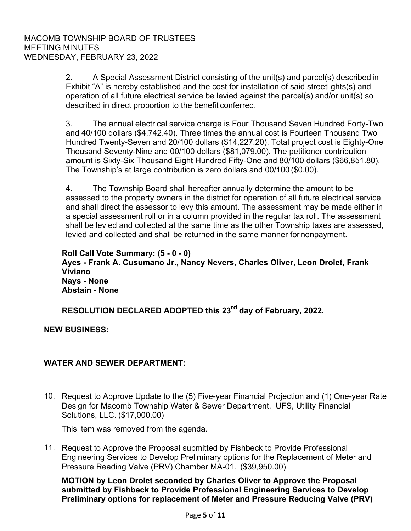2. A Special Assessment District consisting of the unit(s) and parcel(s) described in Exhibit "A" is hereby established and the cost for installation of said streetlights(s) and operation of all future electrical service be levied against the parcel(s) and/or unit(s) so described in direct proportion to the benefit conferred.

3. The annual electrical service charge is Four Thousand Seven Hundred Forty-Two and 40/100 dollars (\$4,742.40). Three times the annual cost is Fourteen Thousand Two Hundred Twenty-Seven and 20/100 dollars (\$14,227.20). Total project cost is Eighty-One Thousand Seventy-Nine and 00/100 dollars (\$81,079.00). The petitioner contribution amount is Sixty-Six Thousand Eight Hundred Fifty-One and 80/100 dollars (\$66,851.80). The Township's at large contribution is zero dollars and 00/100 (\$0.00).

4. The Township Board shall hereafter annually determine the amount to be assessed to the property owners in the district for operation of all future electrical service and shall direct the assessor to levy this amount. The assessment may be made either in a special assessment roll or in a column provided in the regular tax roll. The assessment shall be levied and collected at the same time as the other Township taxes are assessed, levied and collected and shall be returned in the same manner for nonpayment.

**Roll Call Vote Summary: (5 - 0 - 0) Ayes - Frank A. Cusumano Jr., Nancy Nevers, Charles Oliver, Leon Drolet, Frank Viviano Nays - None Abstain - None** 

**RESOLUTION DECLARED ADOPTED this 23rd day of February, 2022.** 

**NEW BUSINESS:** 

# **WATER AND SEWER DEPARTMENT:**

10. Request to Approve Update to the (5) Five-year Financial Projection and (1) One-year Rate Design for Macomb Township Water & Sewer Department. UFS, Utility Financial Solutions, LLC. (\$17,000.00)

This item was removed from the agenda.

11. Request to Approve the Proposal submitted by Fishbeck to Provide Professional Engineering Services to Develop Preliminary options for the Replacement of Meter and Pressure Reading Valve (PRV) Chamber MA-01. (\$39,950.00)

**MOTION by Leon Drolet seconded by Charles Oliver to Approve the Proposal submitted by Fishbeck to Provide Professional Engineering Services to Develop Preliminary options for replacement of Meter and Pressure Reducing Valve (PRV)**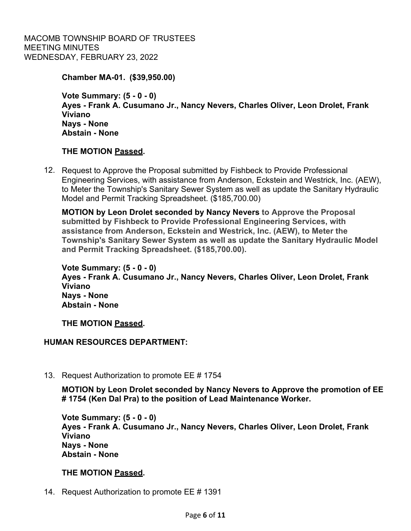**Chamber MA-01. (\$39,950.00)** 

**Vote Summary: (5 - 0 - 0) Ayes - Frank A. Cusumano Jr., Nancy Nevers, Charles Oliver, Leon Drolet, Frank Viviano Nays - None Abstain - None** 

# **THE MOTION Passed.**

12. Request to Approve the Proposal submitted by Fishbeck to Provide Professional Engineering Services, with assistance from Anderson, Eckstein and Westrick, Inc. (AEW), to Meter the Township's Sanitary Sewer System as well as update the Sanitary Hydraulic Model and Permit Tracking Spreadsheet. (\$185,700.00)

**MOTION by Leon Drolet seconded by Nancy Nevers to Approve the Proposal submitted by Fishbeck to Provide Professional Engineering Services, with assistance from Anderson, Eckstein and Westrick, Inc. (AEW), to Meter the Township's Sanitary Sewer System as well as update the Sanitary Hydraulic Model and Permit Tracking Spreadsheet. (\$185,700.00).**

**Vote Summary: (5 - 0 - 0) Ayes - Frank A. Cusumano Jr., Nancy Nevers, Charles Oliver, Leon Drolet, Frank Viviano Nays - None Abstain - None** 

**THE MOTION Passed.** 

# **HUMAN RESOURCES DEPARTMENT:**

13. Request Authorization to promote EE # 1754

**MOTION by Leon Drolet seconded by Nancy Nevers to Approve the promotion of EE # 1754 (Ken Dal Pra) to the position of Lead Maintenance Worker.** 

**Vote Summary: (5 - 0 - 0) Ayes - Frank A. Cusumano Jr., Nancy Nevers, Charles Oliver, Leon Drolet, Frank Viviano Nays - None Abstain - None** 

# **THE MOTION Passed.**

14. Request Authorization to promote EE # 1391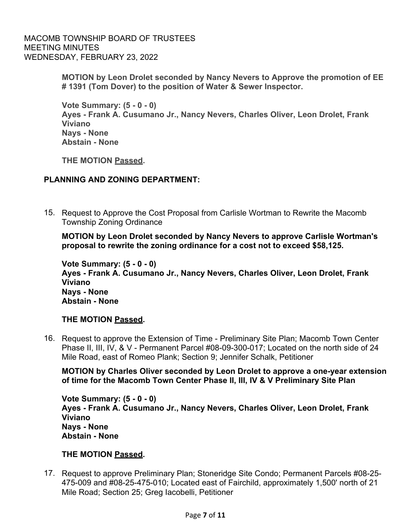> **MOTION by Leon Drolet seconded by Nancy Nevers to Approve the promotion of EE # 1391 (Tom Dover) to the position of Water & Sewer Inspector.**

**Vote Summary: (5 - 0 - 0) Ayes - Frank A. Cusumano Jr., Nancy Nevers, Charles Oliver, Leon Drolet, Frank Viviano Nays - None Abstain - None**

**THE MOTION Passed.**

# **PLANNING AND ZONING DEPARTMENT:**

15. Request to Approve the Cost Proposal from Carlisle Wortman to Rewrite the Macomb Township Zoning Ordinance

**MOTION by Leon Drolet seconded by Nancy Nevers to approve Carlisle Wortman's proposal to rewrite the zoning ordinance for a cost not to exceed \$58,125.** 

**Vote Summary: (5 - 0 - 0) Ayes - Frank A. Cusumano Jr., Nancy Nevers, Charles Oliver, Leon Drolet, Frank Viviano Nays - None Abstain - None** 

# **THE MOTION Passed.**

16. Request to approve the Extension of Time - Preliminary Site Plan; Macomb Town Center Phase II, III, IV, & V - Permanent Parcel #08-09-300-017; Located on the north side of 24 Mile Road, east of Romeo Plank; Section 9; Jennifer Schalk, Petitioner

**MOTION by Charles Oliver seconded by Leon Drolet to approve a one-year extension of time for the Macomb Town Center Phase II, III, IV & V Preliminary Site Plan** 

**Vote Summary: (5 - 0 - 0) Ayes - Frank A. Cusumano Jr., Nancy Nevers, Charles Oliver, Leon Drolet, Frank Viviano Nays - None Abstain - None** 

# **THE MOTION Passed.**

17. Request to approve Preliminary Plan; Stoneridge Site Condo; Permanent Parcels #08-25- 475-009 and #08-25-475-010; Located east of Fairchild, approximately 1,500' north of 21 Mile Road; Section 25; Greg Iacobelli, Petitioner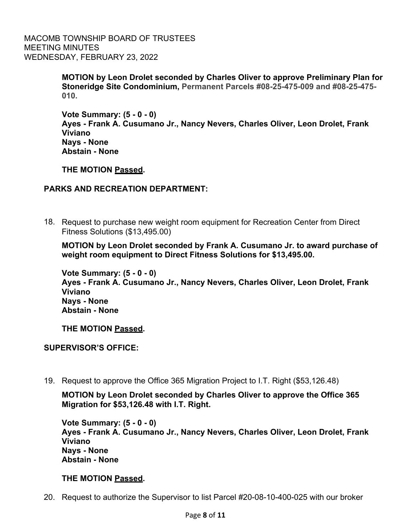> **MOTION by Leon Drolet seconded by Charles Oliver to approve Preliminary Plan for Stoneridge Site Condominium, Permanent Parcels #08-25-475-009 and #08-25-475- 010.**

**Vote Summary: (5 - 0 - 0) Ayes - Frank A. Cusumano Jr., Nancy Nevers, Charles Oliver, Leon Drolet, Frank Viviano Nays - None Abstain - None** 

**THE MOTION Passed.** 

# **PARKS AND RECREATION DEPARTMENT:**

18. Request to purchase new weight room equipment for Recreation Center from Direct Fitness Solutions (\$13,495.00)

**MOTION by Leon Drolet seconded by Frank A. Cusumano Jr. to award purchase of weight room equipment to Direct Fitness Solutions for \$13,495.00.** 

**Vote Summary: (5 - 0 - 0) Ayes - Frank A. Cusumano Jr., Nancy Nevers, Charles Oliver, Leon Drolet, Frank Viviano Nays - None Abstain - None** 

**THE MOTION Passed.** 

**SUPERVISOR'S OFFICE:** 

19. Request to approve the Office 365 Migration Project to I.T. Right (\$53,126.48)

**MOTION by Leon Drolet seconded by Charles Oliver to approve the Office 365 Migration for \$53,126.48 with I.T. Right.** 

**Vote Summary: (5 - 0 - 0) Ayes - Frank A. Cusumano Jr., Nancy Nevers, Charles Oliver, Leon Drolet, Frank Viviano Nays - None Abstain - None** 

# **THE MOTION Passed.**

20. Request to authorize the Supervisor to list Parcel #20-08-10-400-025 with our broker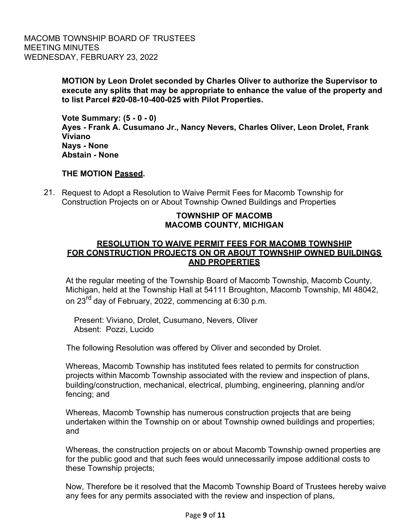> **MOTION by Leon Drolet seconded by Charles Oliver to authorize the Supervisor to execute any splits that may be appropriate to enhance the value of the property and to list Parcel #20-08-10-400-025 with Pilot Properties.**

**Vote Summary: (5 - 0 - 0) Ayes - Frank A. Cusumano Jr., Nancy Nevers, Charles Oliver, Leon Drolet, Frank Viviano Nays - None Abstain - None** 

# **THE MOTION Passed.**

21. Request to Adopt a Resolution to Waive Permit Fees for Macomb Township for Construction Projects on or About Township Owned Buildings and Properties

# **TOWNSHIP OF MACOMB MACOMB COUNTY, MICHIGAN**

# **RESOLUTION TO WAIVE PERMIT FEES FOR MACOMB TOWNSHIP FOR CONSTRUCTION PROJECTS ON OR ABOUT TOWNSHIP OWNED BUILDINGS AND PROPERTIES**

At the regular meeting of the Township Board of Macomb Township, Macomb County, Michigan, held at the Township Hall at 54111 Broughton, Macomb Township, MI 48042, on 23<sup>rd</sup> day of February, 2022, commencing at 6:30 p.m.

Present: Viviano, Drolet, Cusumano, Nevers, Oliver Absent: Pozzi, Lucido

The following Resolution was offered by Oliver and seconded by Drolet.

Whereas, Macomb Township has instituted fees related to permits for construction projects within Macomb Township associated with the review and inspection of plans, building/construction, mechanical, electrical, plumbing, engineering, planning and/or fencing; and

Whereas, Macomb Township has numerous construction projects that are being undertaken within the Township on or about Township owned buildings and properties; and

Whereas, the construction projects on or about Macomb Township owned properties are for the public good and that such fees would unnecessarily impose additional costs to these Township projects;

Now, Therefore be it resolved that the Macomb Township Board of Trustees hereby waive any fees for any permits associated with the review and inspection of plans,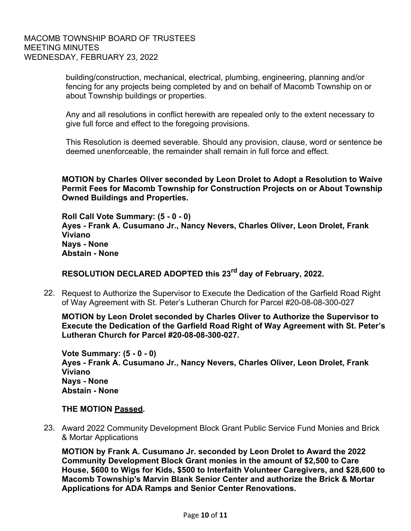building/construction, mechanical, electrical, plumbing, engineering, planning and/or fencing for any projects being completed by and on behalf of Macomb Township on or about Township buildings or properties.

Any and all resolutions in conflict herewith are repealed only to the extent necessary to give full force and effect to the foregoing provisions.

This Resolution is deemed severable. Should any provision, clause, word or sentence be deemed unenforceable, the remainder shall remain in full force and effect.

**MOTION by Charles Oliver seconded by Leon Drolet to Adopt a Resolution to Waive Permit Fees for Macomb Township for Construction Projects on or About Township Owned Buildings and Properties.** 

**Roll Call Vote Summary: (5 - 0 - 0) Ayes - Frank A. Cusumano Jr., Nancy Nevers, Charles Oliver, Leon Drolet, Frank Viviano Nays - None Abstain - None** 

**RESOLUTION DECLARED ADOPTED this 23rd day of February, 2022.** 

22. Request to Authorize the Supervisor to Execute the Dedication of the Garfield Road Right of Way Agreement with St. Peter's Lutheran Church for Parcel #20-08-08-300-027

**MOTION by Leon Drolet seconded by Charles Oliver to Authorize the Supervisor to Execute the Dedication of the Garfield Road Right of Way Agreement with St. Peter's Lutheran Church for Parcel #20-08-08-300-027.** 

**Vote Summary: (5 - 0 - 0) Ayes - Frank A. Cusumano Jr., Nancy Nevers, Charles Oliver, Leon Drolet, Frank Viviano Nays - None Abstain - None** 

# **THE MOTION Passed.**

23. Award 2022 Community Development Block Grant Public Service Fund Monies and Brick & Mortar Applications

**MOTION by Frank A. Cusumano Jr. seconded by Leon Drolet to Award the 2022 Community Development Block Grant monies in the amount of \$2,500 to Care House, \$600 to Wigs for Kids, \$500 to Interfaith Volunteer Caregivers, and \$28,600 to Macomb Township's Marvin Blank Senior Center and authorize the Brick & Mortar Applications for ADA Ramps and Senior Center Renovations.**